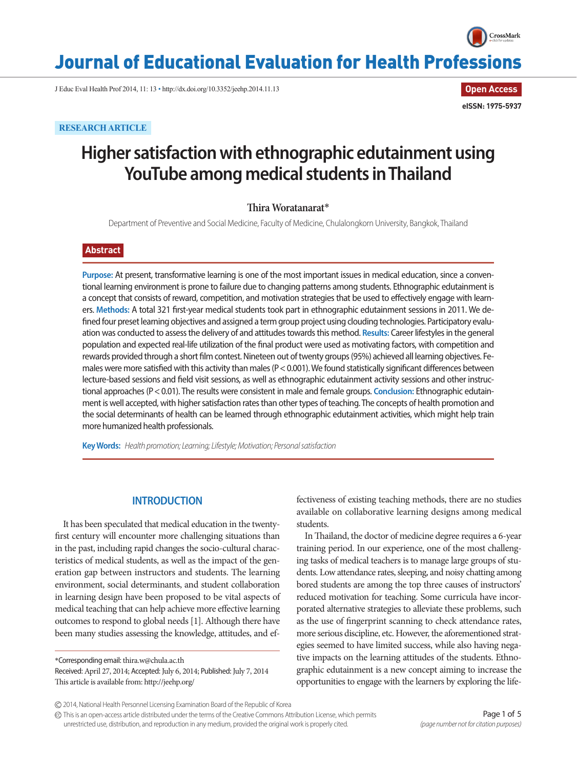

**Open Access**

**eISSN: 1975-5937**

# Journal of Educational Evaluation for Health Professions

J Educ Eval Health Prof 2014, 11: 13 • http://dx.doi.org/10.3352/jeehp.2014.11.13

**RESEARCH ARTICLE**

# **Higher satisfaction with ethnographic edutainment using YouTube among medical students in Thailand**

## **Thira Woratanarat**\*

Department of Preventive and Social Medicine, Faculty of Medicine, Chulalongkorn University, Bangkok, Thailand

## **Abstract**

**Purpose:** At present, transformative learning is one of the most important issues in medical education, since a conventional learning environment is prone to failure due to changing patterns among students. Ethnographic edutainment is a concept that consists of reward, competition, and motivation strategies that be used to effectively engage with learners. **Methods:** A total 321 first-year medical students took part in ethnographic edutainment sessions in 2011. We defined four preset learning objectives and assigned a term group project using clouding technologies. Participatory evaluation was conducted to assess the delivery of and attitudes towards this method. **Results:** Career lifestyles in the general population and expected real-life utilization of the final product were used as motivating factors, with competition and rewards provided through a short film contest. Nineteen out of twenty groups (95%) achieved all learning objectives. Females were more satisfied with this activity than males (P< 0.001). We found statistically significant differences between lecture-based sessions and field visit sessions, as well as ethnographic edutainment activity sessions and other instructional approaches (P< 0.01). The results were consistent in male and female groups. **Conclusion:** Ethnographic edutainment is well accepted, with higher satisfaction rates than other types of teaching. The concepts of health promotion and the social determinants of health can be learned through ethnographic edutainment activities, which might help train more humanized health professionals.

**Key Words:** *Health promotion; Learning; Lifestyle; Motivation; Personal satisfaction*

## **INTRODUCTION**

It has been speculated that medical education in the twentyfirst century will encounter more challenging situations than in the past, including rapid changes the socio-cultural characteristics of medical students, as well as the impact of the generation gap between instructors and students. The learning environment, social determinants, and student collaboration in learning design have been proposed to be vital aspects of medical teaching that can help achieve more effective learning outcomes to respond to global needs [1]. Although there have been many studies assessing the knowledge, attitudes, and ef-

\*Corresponding email: thira.w@chula.ac.th

Received: April 27, 2014; Accepted: July 6, 2014; Published: July 7, 2014 This article is available from: http://jeehp.org/

fectiveness of existing teaching methods, there are no studies available on collaborative learning designs among medical students.

In Thailand, the doctor of medicine degree requires a 6-year training period. In our experience, one of the most challenging tasks of medical teachers is to manage large groups of students. Low attendance rates, sleeping, and noisy chatting among bored students are among the top three causes of instructors' reduced motivation for teaching. Some curricula have incorporated alternative strategies to alleviate these problems, such as the use of fingerprint scanning to check attendance rates, more serious discipline, etc. However, the aforementioned strategies seemed to have limited success, while also having negative impacts on the learning attitudes of the students. Ethnographic edutainment is a new concept aiming to increase the opportunities to engage with the learners by exploring the life-

This is an open-access article distributed under the terms of the Creative Commons Attribution License, which permits unrestricted use, distribution, and reproduction in any medium, provided the original work is properly cited.

<sup>2014,</sup> National Health Personnel Licensing Examination Board of the Republic of Korea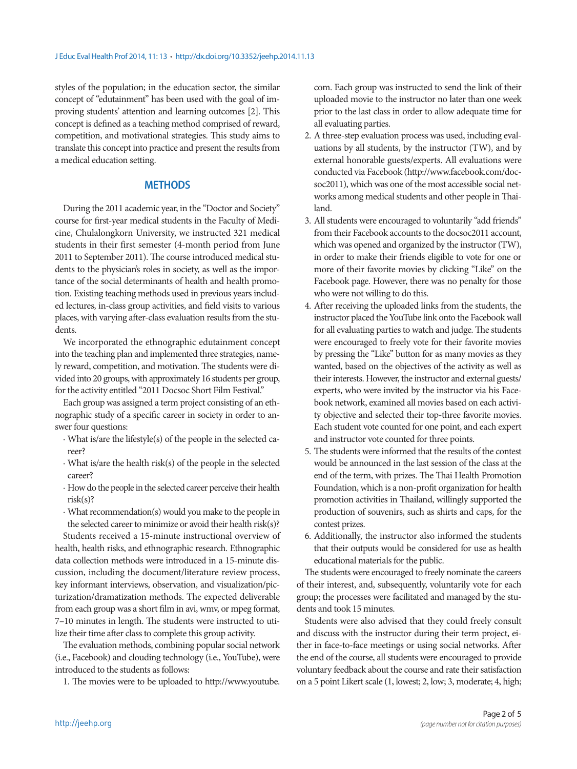styles of the population; in the education sector, the similar concept of "edutainment" has been used with the goal of improving students' attention and learning outcomes [2]. This concept is defined as a teaching method comprised of reward, competition, and motivational strategies. This study aims to translate this concept into practice and present the results from a medical education setting.

# **METHODS**

During the 2011 academic year, in the "Doctor and Society" course for first-year medical students in the Faculty of Medicine, Chulalongkorn University, we instructed 321 medical students in their first semester (4-month period from June 2011 to September 2011). The course introduced medical students to the physician's roles in society, as well as the importance of the social determinants of health and health promotion. Existing teaching methods used in previous years included lectures, in-class group activities, and field visits to various places, with varying after-class evaluation results from the students.

We incorporated the ethnographic edutainment concept into the teaching plan and implemented three strategies, namely reward, competition, and motivation. The students were divided into 20 groups, with approximately 16 students per group, for the activity entitled "2011 Docsoc Short Film Festival."

Each group was assigned a term project consisting of an ethnographic study of a specific career in society in order to answer four questions:

- ∙ What is/are the lifestyle(s) of the people in the selected career?
- ∙ What is/are the health risk(s) of the people in the selected career?
- ∙ How do the people in the selected career perceive their health risk(s)?
- ∙ What recommendation(s) would you make to the people in the selected career to minimize or avoid their health risk(s)?

Students received a 15-minute instructional overview of health, health risks, and ethnographic research. Ethnographic data collection methods were introduced in a 15-minute discussion, including the document/literature review process, key informant interviews, observation, and visualization/picturization/dramatization methods. The expected deliverable from each group was a short film in avi, wmv, or mpeg format, 7–10 minutes in length. The students were instructed to utilize their time after class to complete this group activity.

The evaluation methods, combining popular social network (i.e., Facebook) and clouding technology (i.e., YouTube), were introduced to the students as follows:

1. The movies were to be uploaded to http://www.youtube.

com. Each group was instructed to send the link of their uploaded movie to the instructor no later than one week prior to the last class in order to allow adequate time for all evaluating parties.

- 2. A three-step evaluation process was used, including evaluations by all students, by the instructor (TW), and by external honorable guests/experts. All evaluations were conducted via Facebook (http://www.facebook.com/docsoc2011), which was one of the most accessible social networks among medical students and other people in Thailand.
- 3. All students were encouraged to voluntarily "add friends" from their Facebook accounts to the docsoc2011 account, which was opened and organized by the instructor (TW), in order to make their friends eligible to vote for one or more of their favorite movies by clicking "Like" on the Facebook page. However, there was no penalty for those who were not willing to do this.
- 4. After receiving the uploaded links from the students, the instructor placed the YouTube link onto the Facebook wall for all evaluating parties to watch and judge. The students were encouraged to freely vote for their favorite movies by pressing the "Like" button for as many movies as they wanted, based on the objectives of the activity as well as their interests. However, the instructor and external guests/ experts, who were invited by the instructor via his Facebook network, examined all movies based on each activity objective and selected their top-three favorite movies. Each student vote counted for one point, and each expert and instructor vote counted for three points.
- 5. The students were informed that the results of the contest would be announced in the last session of the class at the end of the term, with prizes. The Thai Health Promotion Foundation, which is a non-profit organization for health promotion activities in Thailand, willingly supported the production of souvenirs, such as shirts and caps, for the contest prizes.
- 6. Additionally, the instructor also informed the students that their outputs would be considered for use as health educational materials for the public.

The students were encouraged to freely nominate the careers of their interest, and, subsequently, voluntarily vote for each group; the processes were facilitated and managed by the students and took 15 minutes.

Students were also advised that they could freely consult and discuss with the instructor during their term project, either in face-to-face meetings or using social networks. After the end of the course, all students were encouraged to provide voluntary feedback about the course and rate their satisfaction on a 5 point Likert scale (1, lowest; 2, low; 3, moderate; 4, high;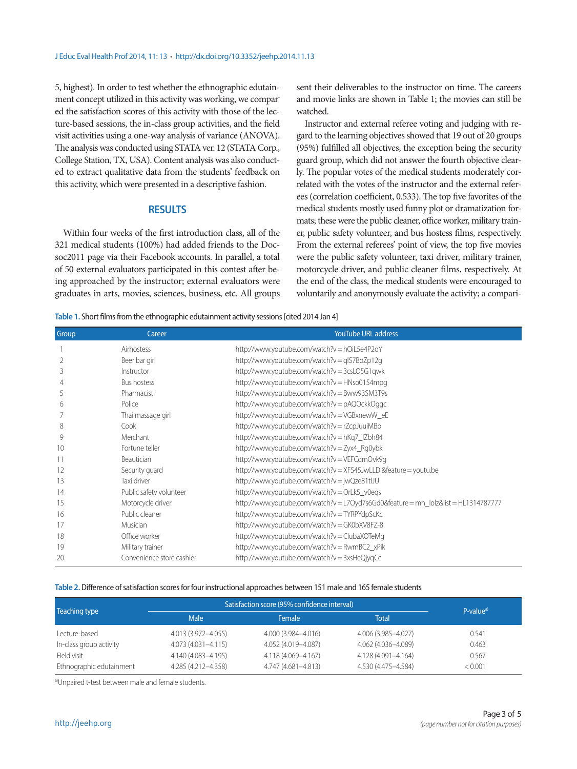5, highest). In order to test whether the ethnographic edutainment concept utilized in this activity was working, we compared the satisfaction scores of this activity with those of the lecture-based sessions, the in-class group activities, and the field visit activities using a one-way analysis of variance (ANOVA). The analysis was conducted using STATA ver. 12 (STATA Corp., College Station, TX, USA). Content analysis was also conducted to extract qualitative data from the students' feedback on this activity, which were presented in a descriptive fashion.

## **RESULTS**

Within four weeks of the first introduction class, all of the 321 medical students (100%) had added friends to the Docsoc2011 page via their Facebook accounts. In parallel, a total of 50 external evaluators participated in this contest after being approached by the instructor; external evaluators were graduates in arts, movies, sciences, business, etc. All groups

sent their deliverables to the instructor on time. The careers and movie links are shown in Table 1; the movies can still be watched.

Instructor and external referee voting and judging with regard to the learning objectives showed that 19 out of 20 groups (95%) fulfilled all objectives, the exception being the security guard group, which did not answer the fourth objective clearly. The popular votes of the medical students moderately correlated with the votes of the instructor and the external referees (correlation coefficient, 0.533). The top five favorites of the medical students mostly used funny plot or dramatization formats; these were the public cleaner, office worker, military trainer, public safety volunteer, and bus hostess films, respectively. From the external referees' point of view, the top five movies were the public safety volunteer, taxi driver, military trainer, motorcycle driver, and public cleaner films, respectively. At the end of the class, the medical students were encouraged to voluntarily and anonymously evaluate the activity; a compari-

**Table 1.** Short films from the ethnographic edutainment activity sessions [cited 2014 Jan 4]

| Group | Career                    | <b>YouTube URL address</b>                                                   |
|-------|---------------------------|------------------------------------------------------------------------------|
|       | Airhostess                | http://www.youtube.com/watch?v=hQiL5e4P2oY                                   |
| 2     | Beer bar girl             | http://www.youtube.com/watch?v=glS7BoZp12g                                   |
| 3     | Instructor                | http://www.youtube.com/watch?v=3csLO5G1qwk                                   |
|       | Bus hostess               | http://www.youtube.com/watch?v=HNso0154mpg                                   |
| 5     | Pharmacist                | http://www.youtube.com/watch?v=Bww93SM3T9s                                   |
| h     | Police                    | http://www.youtube.com/watch?v=pAQOckkOggc                                   |
|       | Thai massage girl         | http://www.youtube.com/watch?v=VGBxnewW_eE                                   |
| 8     | Cook                      | http://www.youtube.com/watch?v=rZcpJuuiMBo                                   |
| 9     | Merchant                  | http://www.youtube.com/watch?v=hKq7_IZbh84                                   |
| 10    | Fortune teller            | http://www.youtube.com/watch?v = Zyx4_Rg0ybk                                 |
|       | <b>Beautician</b>         | http://www.youtube.com/watch?v=VEFCgmOvk9g                                   |
| 12    | Security guard            | http://www.youtube.com/watch?v=XFS45JwLLDl&feature=youtu.be                  |
| 13    | Taxi driver               | http://www.youtube.com/watch?v=jwQze81tlJU                                   |
| 14    | Public safety volunteer   | http://www.youtube.com/watch?v=OrLk5_v0egs                                   |
| 15    | Motorcycle driver         | http://www.youtube.com/watch?v=L7Oyd7s6Gd0&feature=mh_lolz&list=HL1314787777 |
| 16    | Public cleaner            | http://www.youtube.com/watch?v=TYRPYdpScKc                                   |
| 17    | Musician                  | http://www.youtube.com/watch?v=GK0bXV8FZ-8                                   |
| 18    | Office worker             | http://www.youtube.com/watch?v=ClubaXOTeMg                                   |
| 19    | Military trainer          | http://www.youtube.com/watch?v=RwmBC2_xPik                                   |
| 20    | Convenience store cashier | http://www.youtube.com/watch?v=3xsHeQjyqCc                                   |

#### **Table 2.** Difference of satisfaction scores for four instructional approaches between 151 male and 165 female students

| Teaching type            | Satisfaction score (95% confidence interval) | $P-valuea$          |                     |         |
|--------------------------|----------------------------------------------|---------------------|---------------------|---------|
|                          | Male                                         | <b>Female</b>       | Total               |         |
| Lecture-based            | 4.013 (3.972-4.055)                          | 4.000 (3.984-4.016) | 4.006 (3.985-4.027) | 0.541   |
| In-class group activity  | 4.073 (4.031-4.115)                          | 4.052 (4.019-4.087) | 4.062 (4.036-4.089) | 0.463   |
| Field visit              | 4.140 (4.083-4.195)                          | 4.118 (4.069-4.167) | 4.128 (4.091-4.164) | 0.567   |
| Ethnographic edutainment | 4.285 (4.212-4.358)                          | 4.747 (4.681-4.813) | 4.530 (4.475-4.584) | < 0.001 |

a)Unpaired t-test between male and female students.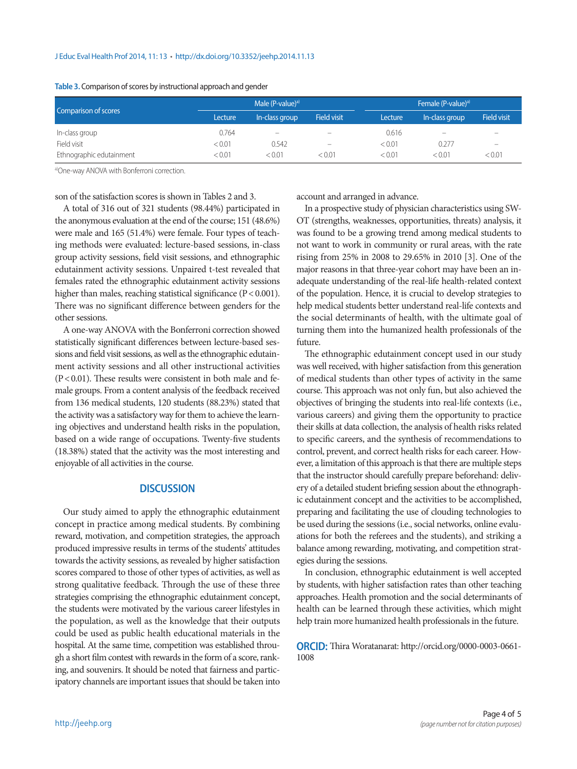#### J Educ Eval Health Prof 2014, 11: 13 • http://dx.doi.org/10.3352/jeehp.2014.11.13

| Comparison of scores     | Male (P-value) <sup>a)</sup> |                          |                          | Female (P-value) <sup>a)</sup> |                          |                          |
|--------------------------|------------------------------|--------------------------|--------------------------|--------------------------------|--------------------------|--------------------------|
|                          | Lecture                      | In-class group           | <b>Field visit</b>       | Lecture                        | In-class group           | <b>Field visit</b>       |
| In-class group           | 0.764                        | $\overline{\phantom{a}}$ |                          | 0.616                          | $\overline{\phantom{a}}$ | $\overline{\phantom{a}}$ |
| Field visit              | < 0.01                       | 0.542                    | $\overline{\phantom{a}}$ | < 0.01                         | 0.277                    | $\overline{\phantom{a}}$ |
| Ethnographic edutainment | < 0.01                       | < 0.01                   | < 0.01                   | < 0.01                         | < 0.01                   | < 0.01                   |

### **Table 3.** Comparison of scores by instructional approach and gender

a)One-way ANOVA with Bonferroni correction.

son of the satisfaction scores is shown in Tables 2 and 3.

A total of 316 out of 321 students (98.44%) participated in the anonymous evaluation at the end of the course; 151 (48.6%) were male and 165 (51.4%) were female. Four types of teaching methods were evaluated: lecture-based sessions, in-class group activity sessions, field visit sessions, and ethnographic edutainment activity sessions. Unpaired t-test revealed that females rated the ethnographic edutainment activity sessions higher than males, reaching statistical significance (P < 0.001). There was no significant difference between genders for the other sessions.

A one-way ANOVA with the Bonferroni correction showed statistically significant differences between lecture-based sessions and field visit sessions, as well as the ethnographic edutainment activity sessions and all other instructional activities  $(P<0.01)$ . These results were consistent in both male and female groups. From a content analysis of the feedback received from 136 medical students, 120 students (88.23%) stated that the activity was a satisfactory way for them to achieve the learning objectives and understand health risks in the population, based on a wide range of occupations. Twenty-five students (18.38%) stated that the activity was the most interesting and enjoyable of all activities in the course.

### **DISCUSSION**

Our study aimed to apply the ethnographic edutainment concept in practice among medical students. By combining reward, motivation, and competition strategies, the approach produced impressive results in terms of the students' attitudes towards the activity sessions, as revealed by higher satisfaction scores compared to those of other types of activities, as well as strong qualitative feedback. Through the use of these three strategies comprising the ethnographic edutainment concept, the students were motivated by the various career lifestyles in the population, as well as the knowledge that their outputs could be used as public health educational materials in the hospital. At the same time, competition was established through a short film contest with rewards in the form of a score, ranking, and souvenirs. It should be noted that fairness and participatory channels are important issues that should be taken into account and arranged in advance.

In a prospective study of physician characteristics using SW-OT (strengths, weaknesses, opportunities, threats) analysis, it was found to be a growing trend among medical students to not want to work in community or rural areas, with the rate rising from 25% in 2008 to 29.65% in 2010 [3]. One of the major reasons in that three-year cohort may have been an inadequate understanding of the real-life health-related context of the population. Hence, it is crucial to develop strategies to help medical students better understand real-life contexts and the social determinants of health, with the ultimate goal of turning them into the humanized health professionals of the future.

The ethnographic edutainment concept used in our study was well received, with higher satisfaction from this generation of medical students than other types of activity in the same course. This approach was not only fun, but also achieved the objectives of bringing the students into real-life contexts (i.e., various careers) and giving them the opportunity to practice their skills at data collection, the analysis of health risks related to specific careers, and the synthesis of recommendations to control, prevent, and correct health risks for each career. However, a limitation of this approach is that there are multiple steps that the instructor should carefully prepare beforehand: delivery of a detailed student briefing session about the ethnographic edutainment concept and the activities to be accomplished, preparing and facilitating the use of clouding technologies to be used during the sessions (i.e., social networks, online evaluations for both the referees and the students), and striking a balance among rewarding, motivating, and competition strategies during the sessions.

In conclusion, ethnographic edutainment is well accepted by students, with higher satisfaction rates than other teaching approaches. Health promotion and the social determinants of health can be learned through these activities, which might help train more humanized health professionals in the future.

**ORCID:** Thira Woratanarat: http://orcid.org/0000-0003-0661- 1008